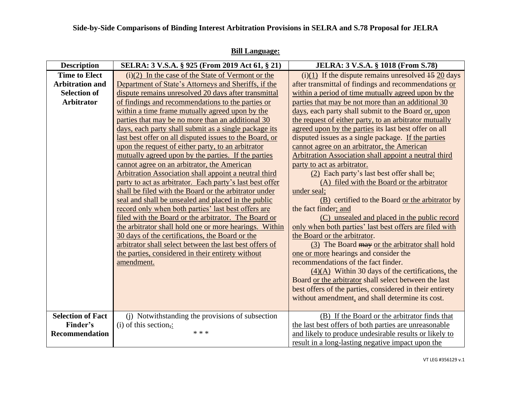| <b>Description</b>                                                                         | SELRA: 3 V.S.A. § 925 (From 2019 Act 61, § 21)                                                                                                                                                                                                                                                                                                                                                                                                                                                                                                                                                                                                                                                                                                                                                                                                                                                                                                                                                                                                                                                                                                                                                                         | JELRA: 3 V.S.A. § 1018 (From S.78)                                                                                                                                                                                                                                                                                                                                                                                                                                                                                                                                                                                                                                                                                                                                                                                                                                                                                                                                                                                                                                                                                                                                                                                                                                                                                  |
|--------------------------------------------------------------------------------------------|------------------------------------------------------------------------------------------------------------------------------------------------------------------------------------------------------------------------------------------------------------------------------------------------------------------------------------------------------------------------------------------------------------------------------------------------------------------------------------------------------------------------------------------------------------------------------------------------------------------------------------------------------------------------------------------------------------------------------------------------------------------------------------------------------------------------------------------------------------------------------------------------------------------------------------------------------------------------------------------------------------------------------------------------------------------------------------------------------------------------------------------------------------------------------------------------------------------------|---------------------------------------------------------------------------------------------------------------------------------------------------------------------------------------------------------------------------------------------------------------------------------------------------------------------------------------------------------------------------------------------------------------------------------------------------------------------------------------------------------------------------------------------------------------------------------------------------------------------------------------------------------------------------------------------------------------------------------------------------------------------------------------------------------------------------------------------------------------------------------------------------------------------------------------------------------------------------------------------------------------------------------------------------------------------------------------------------------------------------------------------------------------------------------------------------------------------------------------------------------------------------------------------------------------------|
| <b>Time to Elect</b><br><b>Arbitration and</b><br><b>Selection of</b><br><b>Arbitrator</b> | $(i)(2)$ In the case of the State of Vermont or the<br>Department of State's Attorneys and Sheriffs, if the<br>dispute remains unresolved 20 days after transmittal<br>of findings and recommendations to the parties or<br>within a time frame mutually agreed upon by the<br>parties that may be no more than an additional 30<br>days, each party shall submit as a single package its<br>last best offer on all disputed issues to the Board, or<br>upon the request of either party, to an arbitrator<br>mutually agreed upon by the parties. If the parties<br>cannot agree on an arbitrator, the American<br><b>Arbitration Association shall appoint a neutral third</b><br>party to act as arbitrator. Each party's last best offer<br>shall be filed with the Board or the arbitrator under<br>seal and shall be unsealed and placed in the public<br>record only when both parties' last best offers are<br>filed with the Board or the arbitrator. The Board or<br>the arbitrator shall hold one or more hearings. Within<br>30 days of the certifications, the Board or the<br>arbitrator shall select between the last best offers of<br>the parties, considered in their entirety without<br>amendment. | (i)(1) If the dispute remains unresolved $\frac{15}{20}$ days<br>after transmittal of findings and recommendations or<br>within a period of time mutually agreed upon by the<br>parties that may be not more than an additional 30<br>days, each party shall submit to the Board or, upon<br>the request of either party, to an arbitrator mutually<br>agreed upon by the parties its last best offer on all<br>disputed issues as a single package. If the parties<br>cannot agree on an arbitrator, the American<br><b>Arbitration Association shall appoint a neutral third</b><br>party to act as arbitrator.<br>(2) Each party's last best offer shall be:<br>(A) filed with the Board or the arbitrator<br>under seal;<br>(B) certified to the Board or the arbitrator by<br>the fact finder; and<br>(C) unsealed and placed in the public record<br>only when both parties' last best offers are filed with<br>the Board or the arbitrator.<br>(3) The Board may or the arbitrator shall hold<br>one or more hearings and consider the<br>recommendations of the fact finder.<br>$(4)(A)$ Within 30 days of the certifications, the<br>Board or the arbitrator shall select between the last<br>best offers of the parties, considered in their entirety<br>without amendment, and shall determine its cost. |
| <b>Selection of Fact</b><br>Finder's<br><b>Recommendation</b>                              | (i) Notwithstanding the provisions of subsection<br>$(i)$ of this section,:<br>* * *                                                                                                                                                                                                                                                                                                                                                                                                                                                                                                                                                                                                                                                                                                                                                                                                                                                                                                                                                                                                                                                                                                                                   | (B) If the Board or the arbitrator finds that<br>the last best offers of both parties are unreasonable<br>and likely to produce undesirable results or likely to<br>result in a long-lasting negative impact upon the                                                                                                                                                                                                                                                                                                                                                                                                                                                                                                                                                                                                                                                                                                                                                                                                                                                                                                                                                                                                                                                                                               |

## **Bill Language:**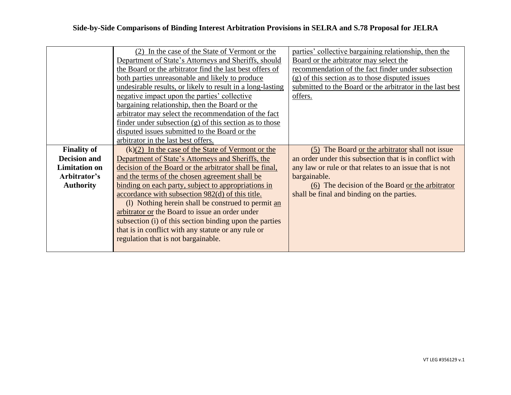|                      | (2) In the case of the State of Vermont or the             | parties' collective bargaining relationship, then the     |
|----------------------|------------------------------------------------------------|-----------------------------------------------------------|
|                      | Department of State's Attorneys and Sheriffs, should       | Board or the arbitrator may select the                    |
|                      | the Board or the arbitrator find the last best offers of   | recommendation of the fact finder under subsection        |
|                      | both parties unreasonable and likely to produce            | (g) of this section as to those disputed issues           |
|                      | undesirable results, or likely to result in a long-lasting | submitted to the Board or the arbitrator in the last best |
|                      | negative impact upon the parties' collective               | offers.                                                   |
|                      | bargaining relationship, then the Board or the             |                                                           |
|                      | arbitrator may select the recommendation of the fact       |                                                           |
|                      | finder under subsection $(g)$ of this section as to those  |                                                           |
|                      | disputed issues submitted to the Board or the              |                                                           |
|                      | arbitrator in the last best offers.                        |                                                           |
| <b>Finality of</b>   | $(k)(2)$ In the case of the State of Vermont or the        | (5) The Board or the arbitrator shall not issue           |
| <b>Decision and</b>  | Department of State's Attorneys and Sheriffs, the          | an order under this subsection that is in conflict with   |
| <b>Limitation on</b> | decision of the Board or the arbitrator shall be final,    | any law or rule or that relates to an issue that is not   |
| Arbitrator's         | and the terms of the chosen agreement shall be             | bargainable.                                              |
| <b>Authority</b>     | binding on each party, subject to appropriations in        | (6) The decision of the Board or the arbitrator           |
|                      | accordance with subsection 982(d) of this title.           | shall be final and binding on the parties.                |
|                      | (1) Nothing herein shall be construed to permit an         |                                                           |
|                      | arbitrator or the Board to issue an order under            |                                                           |
|                      | subsection (i) of this section binding upon the parties    |                                                           |
|                      | that is in conflict with any statute or any rule or        |                                                           |
|                      | regulation that is not bargainable.                        |                                                           |
|                      |                                                            |                                                           |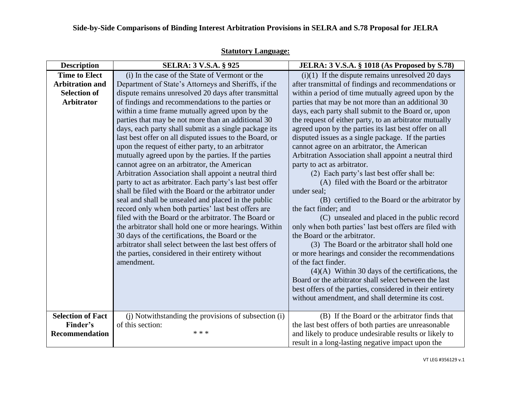| <b>Description</b>       | SELRA: 3 V.S.A. § 925                                                                                       | JELRA: 3 V.S.A. § 1018 (As Proposed by S.78)                                                            |
|--------------------------|-------------------------------------------------------------------------------------------------------------|---------------------------------------------------------------------------------------------------------|
| <b>Time to Elect</b>     | (i) In the case of the State of Vermont or the                                                              | $(i)(1)$ If the dispute remains unresolved 20 days                                                      |
| <b>Arbitration and</b>   | Department of State's Attorneys and Sheriffs, if the                                                        | after transmittal of findings and recommendations or                                                    |
| <b>Selection of</b>      | dispute remains unresolved 20 days after transmittal                                                        | within a period of time mutually agreed upon by the                                                     |
| <b>Arbitrator</b>        | of findings and recommendations to the parties or                                                           | parties that may be not more than an additional 30                                                      |
|                          | within a time frame mutually agreed upon by the                                                             | days, each party shall submit to the Board or, upon                                                     |
|                          | parties that may be not more than an additional 30                                                          | the request of either party, to an arbitrator mutually                                                  |
|                          | days, each party shall submit as a single package its                                                       | agreed upon by the parties its last best offer on all                                                   |
|                          | last best offer on all disputed issues to the Board, or                                                     | disputed issues as a single package. If the parties                                                     |
|                          | upon the request of either party, to an arbitrator                                                          | cannot agree on an arbitrator, the American                                                             |
|                          | mutually agreed upon by the parties. If the parties                                                         | Arbitration Association shall appoint a neutral third                                                   |
|                          | cannot agree on an arbitrator, the American                                                                 | party to act as arbitrator.                                                                             |
|                          | Arbitration Association shall appoint a neutral third                                                       | (2) Each party's last best offer shall be:                                                              |
|                          | party to act as arbitrator. Each party's last best offer                                                    | (A) filed with the Board or the arbitrator                                                              |
|                          | shall be filed with the Board or the arbitrator under                                                       | under seal;                                                                                             |
|                          | seal and shall be unsealed and placed in the public                                                         | (B) certified to the Board or the arbitrator by                                                         |
|                          | record only when both parties' last best offers are<br>filed with the Board or the arbitrator. The Board or | the fact finder; and                                                                                    |
|                          | the arbitrator shall hold one or more hearings. Within                                                      | (C) unsealed and placed in the public record<br>only when both parties' last best offers are filed with |
|                          | 30 days of the certifications, the Board or the                                                             | the Board or the arbitrator.                                                                            |
|                          | arbitrator shall select between the last best offers of                                                     | (3) The Board or the arbitrator shall hold one                                                          |
|                          | the parties, considered in their entirety without                                                           | or more hearings and consider the recommendations                                                       |
|                          | amendment.                                                                                                  | of the fact finder.                                                                                     |
|                          |                                                                                                             | $(4)(A)$ Within 30 days of the certifications, the                                                      |
|                          |                                                                                                             | Board or the arbitrator shall select between the last                                                   |
|                          |                                                                                                             | best offers of the parties, considered in their entirety                                                |
|                          |                                                                                                             | without amendment, and shall determine its cost.                                                        |
|                          |                                                                                                             |                                                                                                         |
| <b>Selection of Fact</b> | (i) Notwithstanding the provisions of subsection (i)                                                        | (B) If the Board or the arbitrator finds that                                                           |
| Finder's                 | of this section:                                                                                            | the last best offers of both parties are unreasonable                                                   |
| <b>Recommendation</b>    | * * *                                                                                                       | and likely to produce undesirable results or likely to                                                  |
|                          |                                                                                                             | result in a long-lasting negative impact upon the                                                       |

## **Statutory Language:**